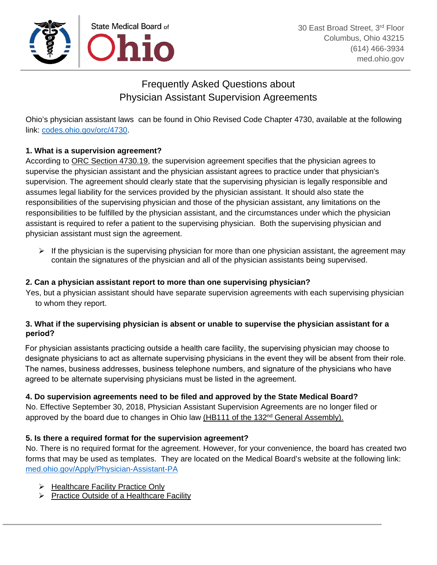

# Frequently Asked Questions about Physician Assistant Supervision Agreements

Ohio's physician assistant laws can be found in [Ohio Revised Code Chapter 4730,](http://codes.ohio.gov/orc/4730) available at the following link: codes.ohio.gov/orc/4730.

## **1. What is a supervision agreement?**

According to [ORC Section 4730.19,](http://codes.ohio.gov/orc/4730.19v1) the supervision agreement specifies that the physician agrees to supervise the physician assistant and the physician assistant agrees to practice under that physician's supervision. The agreement should clearly state that the supervising physician is legally responsible and assumes legal liability for the services provided by the physician assistant. It should also state the responsibilities of the supervising physician and those of the physician assistant, any limitations on the responsibilities to be fulfilled by the physician assistant, and the circumstances under which the physician assistant is required to refer a patient to the supervising physician. Both the supervising physician and physician assistant must sign the agreement.

 $\triangleright$  If the physician is the supervising physician for more than one physician assistant, the agreement may contain the signatures of the physician and all of the physician assistants being supervised.

### **2. Can a physician assistant report to more than one supervising physician?**

Yes, but a physician assistant should have separate supervision agreements with each supervising physician to whom they report.

### **3. What if the supervising physician is absent or unable to supervise the physician assistant for a period?**

For physician assistants practicing outside a health care facility, the supervising physician may choose to designate physicians to act as alternate supervising physicians in the event they will be absent from their role. The names, business addresses, business telephone numbers, and signature of the physicians who have agreed to be alternate supervising physicians must be listed in the agreement.

### **4. Do supervision agreements need to be filed and approved by the State Medical Board?**

No. Effective September 30, 2018, Physician Assistant Supervision Agreements are no longer filed or approved by the board due to changes in Ohio law (HB111 of the 132<sup>nd</sup> General Assembly).

### **5. Is there a required format for the supervision agreement?**

No. There is no required format for the agreement. However, for your convenience, the board has created two forms that may be used as templates. They are located on the Medical Board's website at the following link: med.ohio.gov/Apply/Physician-Assistant-PA

- $\triangleright$  [Healthcare Facility Practice Only](https://www.med.ohio.gov/Portals/0/Applications/Physician%20Assistant/PA%20SA%20HealthCare%20Facility%206_18.pdf)
- $\triangleright$  [Practice Outside of a Healthcare Facility](https://www.med.ohio.gov/Portals/0/Applications/Physician%20Assistant/PA%20SA%20Independent%20Practice%206_18.pdf)